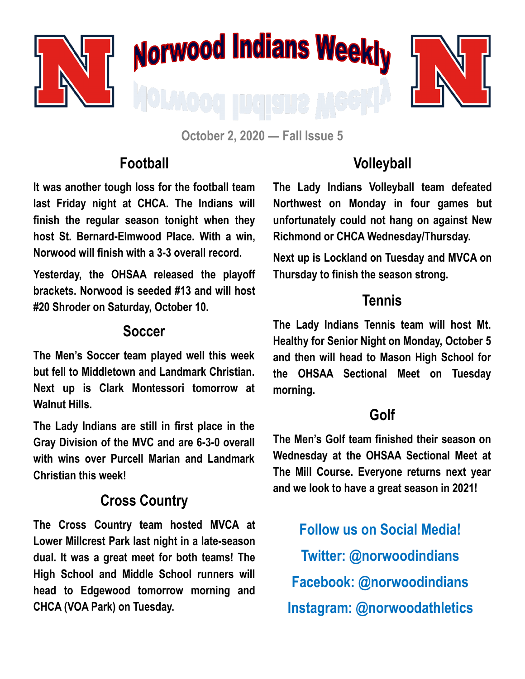

**October 2, 2020 — Fall Issue 5**

### **Football**

**It was another tough loss for the football team last Friday night at CHCA. The Indians will finish the regular season tonight when they host St. Bernard-Elmwood Place. With a win, Norwood will finish with a 3-3 overall record.** 

**Yesterday, the OHSAA released the playoff brackets. Norwood is seeded #13 and will host #20 Shroder on Saturday, October 10.** 

#### **Soccer**

**The Men's Soccer team played well this week but fell to Middletown and Landmark Christian. Next up is Clark Montessori tomorrow at Walnut Hills.**

**The Lady Indians are still in first place in the Gray Division of the MVC and are 6-3-0 overall with wins over Purcell Marian and Landmark Christian this week!**

# **Cross Country**

**The Cross Country team hosted MVCA at Lower Millcrest Park last night in a late-season dual. It was a great meet for both teams! The High School and Middle School runners will head to Edgewood tomorrow morning and CHCA (VOA Park) on Tuesday.**

# **Volleyball**

**The Lady Indians Volleyball team defeated Northwest on Monday in four games but unfortunately could not hang on against New Richmond or CHCA Wednesday/Thursday.** 

**Next up is Lockland on Tuesday and MVCA on Thursday to finish the season strong.**

## **Tennis**

**The Lady Indians Tennis team will host Mt. Healthy for Senior Night on Monday, October 5 and then will head to Mason High School for the OHSAA Sectional Meet on Tuesday morning.**

### **Golf**

**The Men's Golf team finished their season on Wednesday at the OHSAA Sectional Meet at The Mill Course. Everyone returns next year and we look to have a great season in 2021!**

**Follow us on Social Media! Twitter: @norwoodindians Facebook: @norwoodindians Instagram: @norwoodathletics**